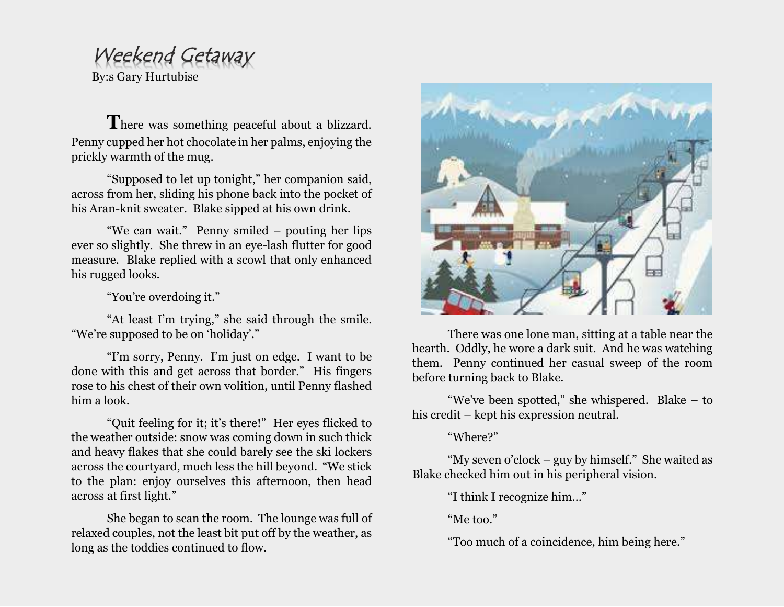## Weekend Getaway

By:s Gary Hurtubise

There was something peaceful about a blizzard. Penny cupped her hot chocolate in her palms, enjoying the prickly warmth of the mug.

"Supposed to let up tonight," her companion said, across from her, sliding his phone back into the pocket of his Aran-knit sweater. Blake sipped at his own drink.

"We can wait." Penny smiled – pouting her lips ever so slightly. She threw in an eye-lash flutter for good measure. Blake replied with a scowl that only enhanced his rugged looks.

"You're overdoing it."

"At least I'm trying," she said through the smile. "We're supposed to be on 'holiday'."

"I'm sorry, Penny. I'm just on edge. I want to be done with this and get across that border." His fingers rose to his chest of their own volition, until Penny flashed him a look.

"Quit feeling for it; it's there!" Her eyes flicked to the weather outside: snow was coming down in such thick and heavy flakes that she could barely see the ski lockers across the courtyard, much less the hill beyond. "We stick to the plan: enjoy ourselves this afternoon, then head across at first light."

She began to scan the room. The lounge was full of relaxed couples, not the least bit put off by the weather, as long as the toddies continued to flow.



There was one lone man, sitting at a table near the hearth. Oddly, he wore a dark suit. And he was watching them. Penny continued her casual sweep of the room before turning back to Blake.

"We've been spotted," she whispered. Blake – to his credit – kept his expression neutral.

"Where?"

"My seven o'clock – guy by himself." She waited as Blake checked him out in his peripheral vision.

"I think I recognize him…"

"Me too."

"Too much of a coincidence, him being here."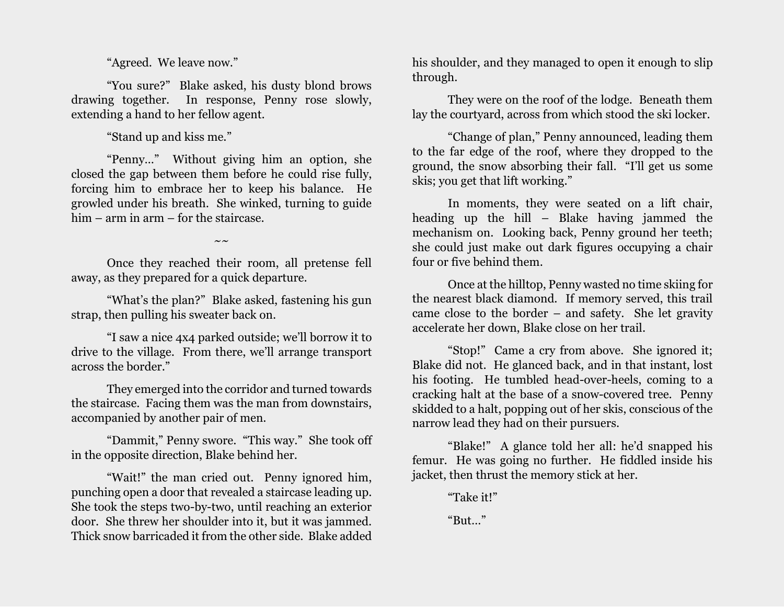"Agreed. We leave now."

"You sure?" Blake asked, his dusty blond brows drawing together. In response, Penny rose slowly, extending a hand to her fellow agent.

"Stand up and kiss me."

"Penny…" Without giving him an option, she closed the gap between them before he could rise fully, forcing him to embrace her to keep his balance. He growled under his breath. She winked, turning to guide him – arm in arm – for the staircase.

Once they reached their room, all pretense fell away, as they prepared for a quick departure.

 $\sim \sim$ 

"What's the plan?" Blake asked, fastening his gun strap, then pulling his sweater back on.

"I saw a nice 4x4 parked outside; we'll borrow it to drive to the village. From there, we'll arrange transport across the border."

They emerged into the corridor and turned towards the staircase. Facing them was the man from downstairs, accompanied by another pair of men.

"Dammit," Penny swore. "This way." She took off in the opposite direction, Blake behind her.

"Wait!" the man cried out. Penny ignored him, punching open a door that revealed a staircase leading up. She took the steps two-by-two, until reaching an exterior door. She threw her shoulder into it, but it was jammed. Thick snow barricaded it from the other side. Blake added

his shoulder, and they managed to open it enough to slip through.

They were on the roof of the lodge. Beneath them lay the courtyard, across from which stood the ski locker.

"Change of plan," Penny announced, leading them to the far edge of the roof, where they dropped to the ground, the snow absorbing their fall. "I'll get us some skis; you get that lift working."

In moments, they were seated on a lift chair, heading up the hill – Blake having jammed the mechanism on. Looking back, Penny ground her teeth; she could just make out dark figures occupying a chair four or five behind them.

Once at the hilltop, Penny wasted no time skiing for the nearest black diamond. If memory served, this trail came close to the border – and safety. She let gravity accelerate her down, Blake close on her trail.

"Stop!" Came a cry from above. She ignored it; Blake did not. He glanced back, and in that instant, lost his footing. He tumbled head-over-heels, coming to a cracking halt at the base of a snow-covered tree. Penny skidded to a halt, popping out of her skis, conscious of the narrow lead they had on their pursuers.

"Blake!" A glance told her all: he'd snapped his femur. He was going no further. He fiddled inside his jacket, then thrust the memory stick at her.

"Take it!"

"But…"